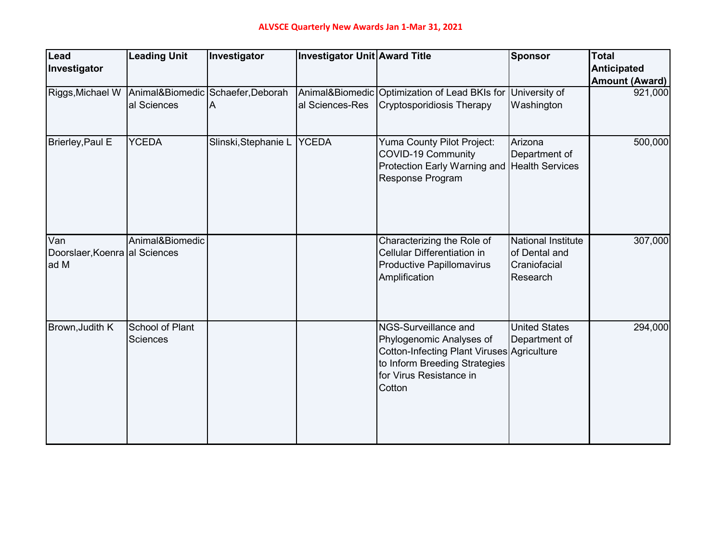| Lead<br>Investigator                         | <b>Leading Unit</b>                | Investigator                           | Investigator Unit Award Title |                                                                                                                                                                      | <b>Sponsor</b>                                                         | <b>Total</b><br><b>Anticipated</b> |
|----------------------------------------------|------------------------------------|----------------------------------------|-------------------------------|----------------------------------------------------------------------------------------------------------------------------------------------------------------------|------------------------------------------------------------------------|------------------------------------|
|                                              |                                    |                                        |                               |                                                                                                                                                                      |                                                                        | <b>Amount (Award)</b>              |
| Riggs, Michael W                             | al Sciences                        | Animal&Biomedic Schaefer, Deborah<br>Α | al Sciences-Res               | Animal&Biomedic Optimization of Lead BKIs for<br><b>Cryptosporidiosis Therapy</b>                                                                                    | University of<br>Washington                                            | 921,000                            |
| Brierley, Paul E                             | <b>YCEDA</b>                       | Slinski, Stephanie L YCEDA             |                               | Yuma County Pilot Project:<br>COVID-19 Community<br>Protection Early Warning and<br>Response Program                                                                 | Arizona<br>Department of<br><b>Health Services</b>                     | 500,000                            |
| Van<br>Doorslaer, Koenra al Sciences<br>ad M | Animal&Biomedic                    |                                        |                               | Characterizing the Role of<br>Cellular Differentiation in<br><b>Productive Papillomavirus</b><br>Amplification                                                       | <b>National Institute</b><br>of Dental and<br>Craniofacial<br>Research | 307,000                            |
| Brown, Judith K                              | School of Plant<br><b>Sciences</b> |                                        |                               | NGS-Surveillance and<br>Phylogenomic Analyses of<br>Cotton-Infecting Plant Viruses Agriculture<br>to Inform Breeding Strategies<br>for Virus Resistance in<br>Cotton | <b>United States</b><br>Department of                                  | 294,000                            |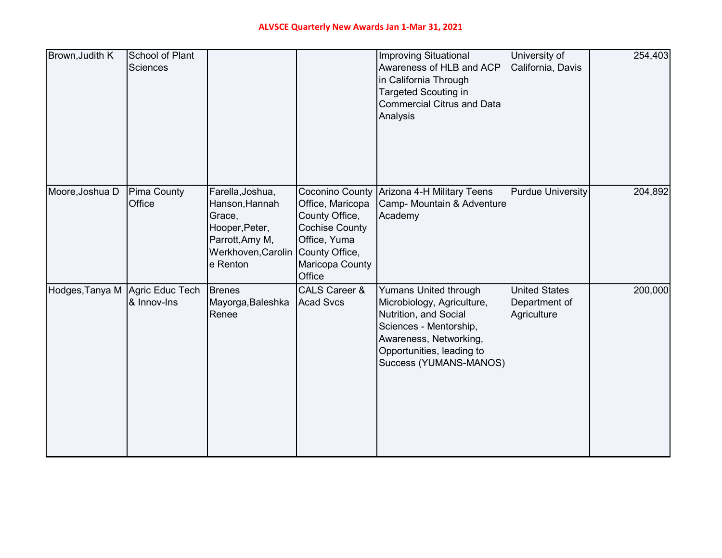| Brown, Judith K | <b>School of Plant</b><br><b>Sciences</b> |                                                                                                                     |                                                                                                                                               | <b>Improving Situational</b><br>Awareness of HLB and ACP<br>in California Through<br><b>Targeted Scouting in</b><br><b>Commercial Citrus and Data</b><br>Analysis                              | University of<br>California, Davis                   | 254,403 |
|-----------------|-------------------------------------------|---------------------------------------------------------------------------------------------------------------------|-----------------------------------------------------------------------------------------------------------------------------------------------|------------------------------------------------------------------------------------------------------------------------------------------------------------------------------------------------|------------------------------------------------------|---------|
| Moore, Joshua D | <b>Pima County</b><br>Office              | Farella, Joshua,<br>Hanson, Hannah<br>Grace,<br>Hooper, Peter,<br>Parrott, Amy M,<br>Werkhoven, Carolin<br>e Renton | Coconino County<br>Office, Maricopa<br>County Office,<br><b>Cochise County</b><br>Office, Yuma<br>County Office,<br>Maricopa County<br>Office | Arizona 4-H Military Teens<br>Camp- Mountain & Adventure<br>Academy                                                                                                                            | <b>Purdue University</b>                             | 204,892 |
| Hodges, Tanya M | Agric Educ Tech<br>& Innov-Ins            | <b>Brenes</b><br>Mayorga, Baleshka<br>Renee                                                                         | <b>CALS Career &amp;</b><br><b>Acad Svcs</b>                                                                                                  | <b>Yumans United through</b><br>Microbiology, Agriculture,<br>Nutrition, and Social<br>Sciences - Mentorship,<br>Awareness, Networking,<br>Opportunities, leading to<br>Success (YUMANS-MANOS) | <b>United States</b><br>Department of<br>Agriculture | 200,000 |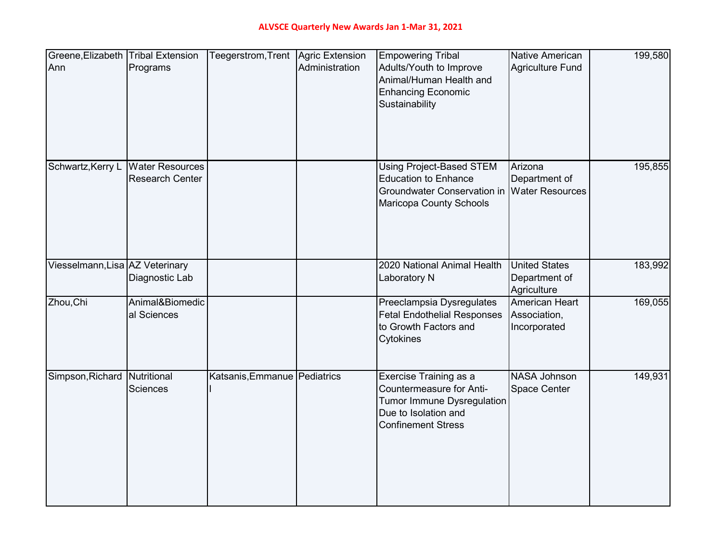| Greene, Elizabeth Tribal Extension |                        | Teegerstrom, Trent   Agric Extension |                | <b>Empowering Tribal</b>                           | <b>Native American</b>  | 199,580 |
|------------------------------------|------------------------|--------------------------------------|----------------|----------------------------------------------------|-------------------------|---------|
| Ann                                | Programs               |                                      | Administration | Adults/Youth to Improve                            | <b>Agriculture Fund</b> |         |
|                                    |                        |                                      |                | Animal/Human Health and                            |                         |         |
|                                    |                        |                                      |                | <b>Enhancing Economic</b>                          |                         |         |
|                                    |                        |                                      |                | Sustainability                                     |                         |         |
|                                    |                        |                                      |                |                                                    |                         |         |
|                                    |                        |                                      |                |                                                    |                         |         |
|                                    |                        |                                      |                |                                                    |                         |         |
|                                    |                        |                                      |                |                                                    |                         |         |
| Schwartz, Kerry L                  | <b>Water Resources</b> |                                      |                | <b>Using Project-Based STEM</b>                    | Arizona                 | 195,855 |
|                                    | <b>Research Center</b> |                                      |                | <b>Education to Enhance</b>                        | Department of           |         |
|                                    |                        |                                      |                | <b>Groundwater Conservation in</b>                 | <b>Water Resources</b>  |         |
|                                    |                        |                                      |                | Maricopa County Schools                            |                         |         |
|                                    |                        |                                      |                |                                                    |                         |         |
|                                    |                        |                                      |                |                                                    |                         |         |
|                                    |                        |                                      |                |                                                    |                         |         |
|                                    |                        |                                      |                |                                                    |                         |         |
| Viesselmann, Lisa AZ Veterinary    |                        |                                      |                | 2020 National Animal Health                        | <b>United States</b>    | 183,992 |
|                                    | Diagnostic Lab         |                                      |                | <b>Laboratory N</b>                                | Department of           |         |
|                                    |                        |                                      |                |                                                    | Agriculture             |         |
| Zhou, Chi                          | Animal&Biomedic        |                                      |                | Preeclampsia Dysregulates                          | American Heart          | 169,055 |
|                                    | al Sciences            |                                      |                | <b>Fetal Endothelial Responses</b>                 | Association,            |         |
|                                    |                        |                                      |                | to Growth Factors and                              | Incorporated            |         |
|                                    |                        |                                      |                | Cytokines                                          |                         |         |
|                                    |                        |                                      |                |                                                    |                         |         |
|                                    |                        |                                      |                |                                                    | <b>NASA Johnson</b>     |         |
| Simpson, Richard Nutritional       | <b>Sciences</b>        | Katsanis, Emmanue   Pediatrics       |                | Exercise Training as a<br>Countermeasure for Anti- | <b>Space Center</b>     | 149,931 |
|                                    |                        |                                      |                |                                                    |                         |         |
|                                    |                        |                                      |                | Tumor Immune Dysregulation<br>Due to Isolation and |                         |         |
|                                    |                        |                                      |                | <b>Confinement Stress</b>                          |                         |         |
|                                    |                        |                                      |                |                                                    |                         |         |
|                                    |                        |                                      |                |                                                    |                         |         |
|                                    |                        |                                      |                |                                                    |                         |         |
|                                    |                        |                                      |                |                                                    |                         |         |
|                                    |                        |                                      |                |                                                    |                         |         |
|                                    |                        |                                      |                |                                                    |                         |         |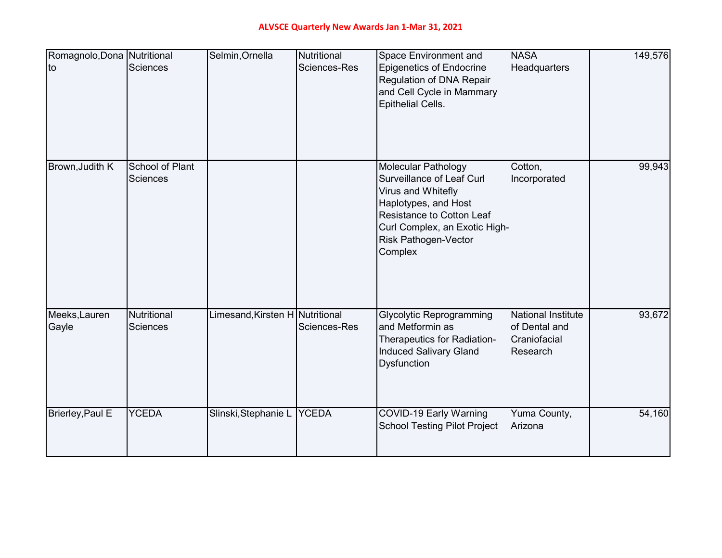## **ALVSCE Quarterly New Awards Jan 1-Mar 31, 2021**

| Romagnolo, Dona Nutritional<br>to | Sciences                           | Selmin, Ornella                 | Nutritional<br>Sciences-Res | Space Environment and<br><b>Epigenetics of Endocrine</b><br>Regulation of DNA Repair<br>and Cell Cycle in Mammary<br><b>Epithelial Cells.</b>                                                                 | <b>NASA</b><br>Headquarters                                            | 149,576 |
|-----------------------------------|------------------------------------|---------------------------------|-----------------------------|---------------------------------------------------------------------------------------------------------------------------------------------------------------------------------------------------------------|------------------------------------------------------------------------|---------|
| Brown, Judith K                   | School of Plant<br><b>Sciences</b> |                                 |                             | <b>Molecular Pathology</b><br>Surveillance of Leaf Curl<br>Virus and Whitefly<br>Haplotypes, and Host<br>Resistance to Cotton Leaf<br>Curl Complex, an Exotic High-<br><b>Risk Pathogen-Vector</b><br>Complex | Cotton,<br>Incorporated                                                | 99,943  |
| Meeks, Lauren<br>Gayle            | Nutritional<br><b>Sciences</b>     | Limesand, Kirsten H Nutritional | Sciences-Res                | <b>Glycolytic Reprogramming</b><br>and Metformin as<br>Therapeutics for Radiation-<br><b>Induced Salivary Gland</b><br><b>Dysfunction</b>                                                                     | <b>National Institute</b><br>of Dental and<br>Craniofacial<br>Research | 93,672  |
| Brierley, Paul E                  | <b>YCEDA</b>                       | Slinski, Stephanie L YCEDA      |                             | COVID-19 Early Warning<br><b>School Testing Pilot Project</b>                                                                                                                                                 | Yuma County,<br>Arizona                                                | 54,160  |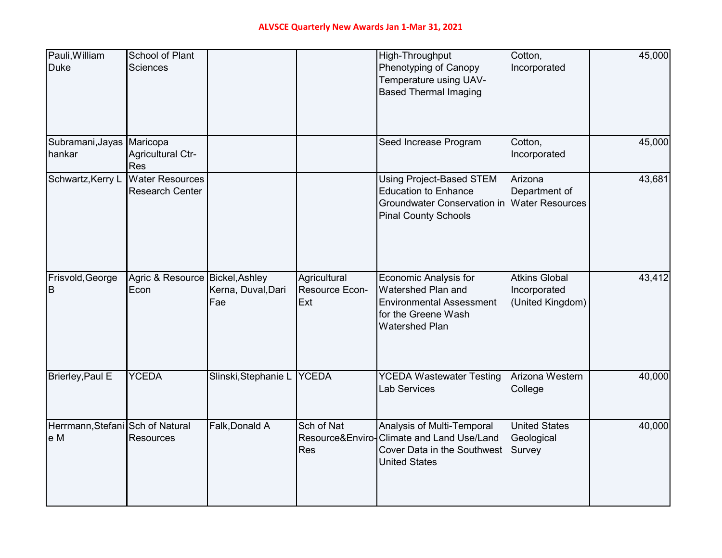| Pauli, William<br><b>Duke</b>           | School of Plant<br><b>Sciences</b>               |                            |                                              | High-Throughput<br>Phenotyping of Canopy<br>Temperature using UAV-<br><b>Based Thermal Imaging</b>                                           | Cotton,<br>Incorporated                                  | 45,000 |
|-----------------------------------------|--------------------------------------------------|----------------------------|----------------------------------------------|----------------------------------------------------------------------------------------------------------------------------------------------|----------------------------------------------------------|--------|
| Subramani, Jayas   Maricopa<br>hankar   | Agricultural Ctr-<br><b>Res</b>                  |                            |                                              | Seed Increase Program                                                                                                                        | Cotton,<br>Incorporated                                  | 45,000 |
| Schwartz, Kerry L                       | <b>Water Resources</b><br><b>Research Center</b> |                            |                                              | <b>Using Project-Based STEM</b><br><b>Education to Enhance</b><br>Groundwater Conservation in Water Resources<br><b>Pinal County Schools</b> | Arizona<br>Department of                                 | 43,681 |
| Frisvold, George<br>B                   | Agric & Resource Bickel, Ashley<br>Econ          | Kerna, Duval, Dari<br>Fae  | Agricultural<br><b>Resource Econ-</b><br>Ext | <b>Economic Analysis for</b><br><b>Watershed Plan and</b><br><b>Environmental Assessment</b><br>for the Greene Wash<br><b>Watershed Plan</b> | <b>Atkins Global</b><br>Incorporated<br>(United Kingdom) | 43,412 |
| Brierley, Paul E                        | <b>YCEDA</b>                                     | Slinski, Stephanie L YCEDA |                                              | <b>YCEDA Wastewater Testing</b><br><b>Lab Services</b>                                                                                       | Arizona Western<br>College                               | 40,000 |
| Herrmann, Stefani Sch of Natural<br>e M | <b>Resources</b>                                 | Falk, Donald A             | Sch of Nat<br>Res                            | Analysis of Multi-Temporal<br>Resource&Enviro-Climate and Land Use/Land<br>Cover Data in the Southwest<br><b>United States</b>               | <b>United States</b><br>Geological<br>Survey             | 40,000 |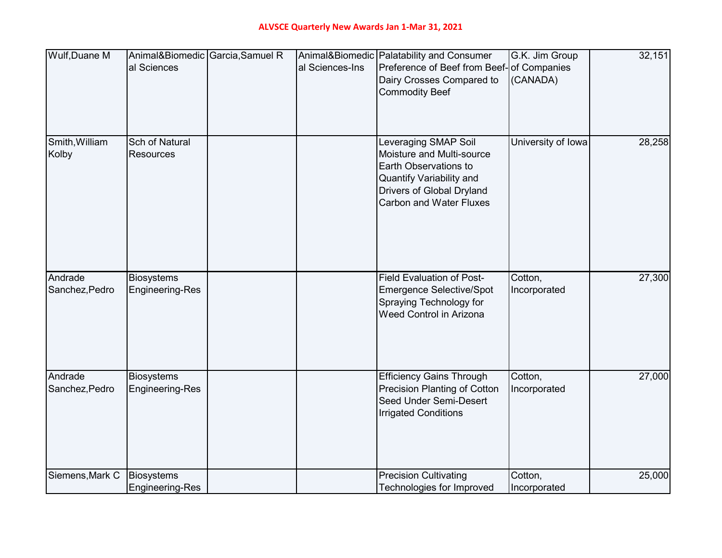| Wulf, Duane M   |                        | Animal&Biomedic Garcia, Samuel R |                 | Animal&Biomedic   Palatability and Consumer                         | G.K. Jim Group     | 32,151 |
|-----------------|------------------------|----------------------------------|-----------------|---------------------------------------------------------------------|--------------------|--------|
|                 | al Sciences            |                                  | al Sciences-Ins | Preference of Beef from Beef-of Companies                           |                    |        |
|                 |                        |                                  |                 | Dairy Crosses Compared to                                           | (CANADA)           |        |
|                 |                        |                                  |                 | <b>Commodity Beef</b>                                               |                    |        |
|                 |                        |                                  |                 |                                                                     |                    |        |
|                 |                        |                                  |                 |                                                                     |                    |        |
| Smith, William  | Sch of Natural         |                                  |                 | Leveraging SMAP Soil                                                | University of Iowa | 28,258 |
| Kolby           | <b>Resources</b>       |                                  |                 | Moisture and Multi-source                                           |                    |        |
|                 |                        |                                  |                 | Earth Observations to                                               |                    |        |
|                 |                        |                                  |                 | <b>Quantify Variability and</b><br><b>Drivers of Global Dryland</b> |                    |        |
|                 |                        |                                  |                 | <b>Carbon and Water Fluxes</b>                                      |                    |        |
|                 |                        |                                  |                 |                                                                     |                    |        |
|                 |                        |                                  |                 |                                                                     |                    |        |
|                 |                        |                                  |                 |                                                                     |                    |        |
|                 |                        |                                  |                 |                                                                     |                    |        |
| Andrade         | <b>Biosystems</b>      |                                  |                 | <b>Field Evaluation of Post-</b>                                    | Cotton,            | 27,300 |
| Sanchez, Pedro  | <b>Engineering-Res</b> |                                  |                 | <b>Emergence Selective/Spot</b>                                     | Incorporated       |        |
|                 |                        |                                  |                 | Spraying Technology for                                             |                    |        |
|                 |                        |                                  |                 | Weed Control in Arizona                                             |                    |        |
|                 |                        |                                  |                 |                                                                     |                    |        |
|                 |                        |                                  |                 |                                                                     |                    |        |
|                 |                        |                                  |                 |                                                                     |                    |        |
| Andrade         | <b>Biosystems</b>      |                                  |                 | <b>Efficiency Gains Through</b>                                     | Cotton,            | 27,000 |
| Sanchez, Pedro  | <b>Engineering-Res</b> |                                  |                 | <b>Precision Planting of Cotton</b>                                 | Incorporated       |        |
|                 |                        |                                  |                 | Seed Under Semi-Desert                                              |                    |        |
|                 |                        |                                  |                 | <b>Irrigated Conditions</b>                                         |                    |        |
|                 |                        |                                  |                 |                                                                     |                    |        |
|                 |                        |                                  |                 |                                                                     |                    |        |
|                 |                        |                                  |                 |                                                                     |                    |        |
| Siemens, Mark C | <b>Biosystems</b>      |                                  |                 | <b>Precision Cultivating</b>                                        | Cotton,            | 25,000 |
|                 | <b>Engineering-Res</b> |                                  |                 | Technologies for Improved                                           | Incorporated       |        |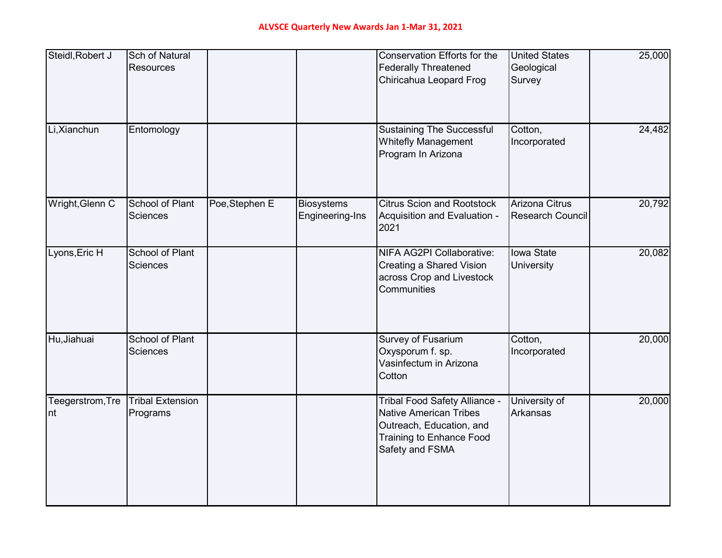| Steidl, Robert J        | <b>Sch of Natural</b><br><b>Resources</b> |                |                                      | Conservation Efforts for the<br><b>Federally Threatened</b><br>Chiricahua Leopard Frog                                                           | <b>United States</b><br>Geological<br>Survey     | 25,000 |
|-------------------------|-------------------------------------------|----------------|--------------------------------------|--------------------------------------------------------------------------------------------------------------------------------------------------|--------------------------------------------------|--------|
| Li, Xianchun            | Entomology                                |                |                                      | <b>Sustaining The Successful</b><br><b>Whitefly Management</b><br>Program In Arizona                                                             | Cotton,<br>Incorporated                          | 24,482 |
| Wright, Glenn C         | School of Plant<br>Sciences               | Poe, Stephen E | <b>Biosystems</b><br>Engineering-Ins | <b>Citrus Scion and Rootstock</b><br>Acquisition and Evaluation -<br>2021                                                                        | <b>Arizona Citrus</b><br><b>Research Council</b> | 20,792 |
| Lyons, Eric H           | <b>School of Plant</b><br><b>Sciences</b> |                |                                      | NIFA AG2PI Collaborative:<br>Creating a Shared Vision<br>across Crop and Livestock<br>Communities                                                | <b>Iowa State</b><br><b>University</b>           | 20,082 |
| Hu, Jiahuai             | School of Plant<br><b>Sciences</b>        |                |                                      | Survey of Fusarium<br>Oxysporum f. sp.<br>Vasinfectum in Arizona<br>Cotton                                                                       | Cotton,<br>Incorporated                          | 20,000 |
| Teegerstrom, Tre<br>Int | <b>Tribal Extension</b><br>Programs       |                |                                      | Tribal Food Safety Alliance -<br><b>Native American Tribes</b><br>Outreach, Education, and<br><b>Training to Enhance Food</b><br>Safety and FSMA | University of<br>Arkansas                        | 20,000 |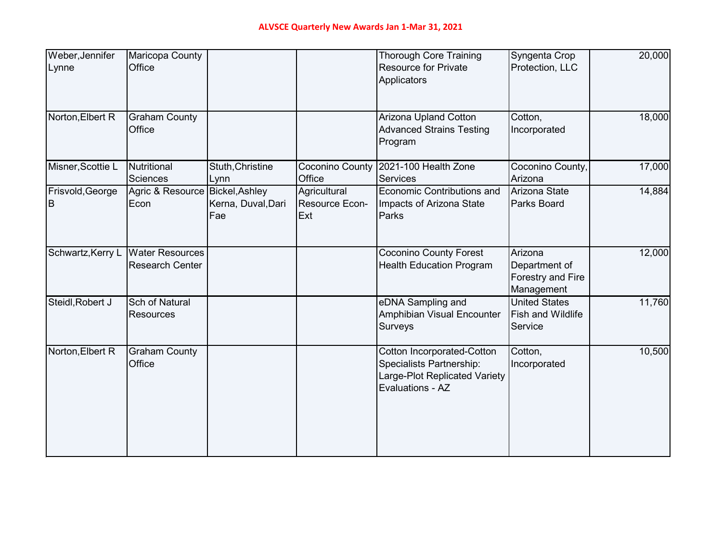| Weber, Jennifer<br>Lynne | <b>Maricopa County</b><br>Office                 |                           |                                       | <b>Thorough Core Training</b><br><b>Resource for Private</b><br>Applicators                                        | Syngenta Crop<br>Protection, LLC                            | 20,000 |
|--------------------------|--------------------------------------------------|---------------------------|---------------------------------------|--------------------------------------------------------------------------------------------------------------------|-------------------------------------------------------------|--------|
| Norton, Elbert R         | <b>Graham County</b><br>Office                   |                           |                                       | Arizona Upland Cotton<br><b>Advanced Strains Testing</b><br>Program                                                | Cotton,<br>Incorporated                                     | 18,000 |
| Misner, Scottie L        | Nutritional<br><b>Sciences</b>                   | Stuth, Christine<br>Lynn  | <b>Coconino County</b><br>Office      | 2021-100 Health Zone<br><b>Services</b>                                                                            | Coconino County,<br>Arizona                                 | 17,000 |
| Frisvold, George<br>B    | Agric & Resource Bickel, Ashley<br>Econ          | Kerna, Duval, Dari<br>Fae | Agricultural<br>Resource Econ-<br>Ext | Economic Contributions and<br>Impacts of Arizona State<br>Parks                                                    | Arizona State<br><b>Parks Board</b>                         | 14,884 |
| Schwartz, Kerry L        | <b>Water Resources</b><br><b>Research Center</b> |                           |                                       | <b>Coconino County Forest</b><br><b>Health Education Program</b>                                                   | Arizona<br>Department of<br>Forestry and Fire<br>Management | 12,000 |
| Steidl, Robert J         | Sch of Natural<br><b>Resources</b>               |                           |                                       | eDNA Sampling and<br>Amphibian Visual Encounter<br>Surveys                                                         | <b>United States</b><br><b>Fish and Wildlife</b><br>Service | 11,760 |
| Norton, Elbert R         | <b>Graham County</b><br>Office                   |                           |                                       | <b>Cotton Incorporated-Cotton</b><br>Specialists Partnership:<br>Large-Plot Replicated Variety<br>Evaluations - AZ | Cotton,<br>Incorporated                                     | 10,500 |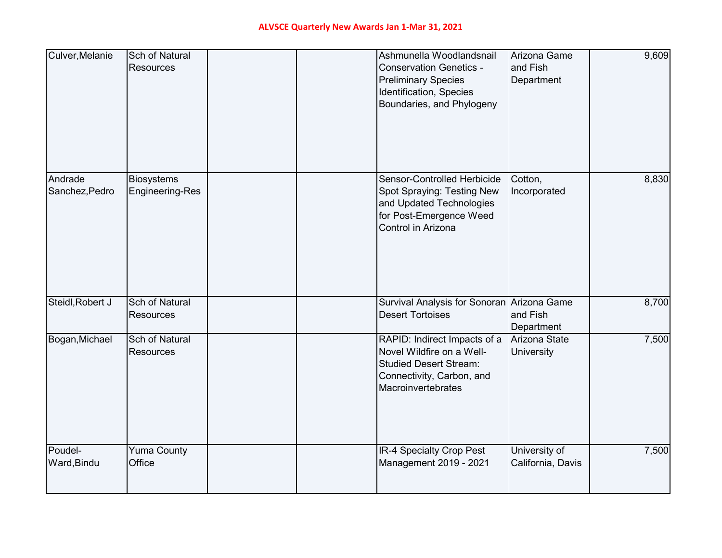| Culver, Melanie           | <b>Sch of Natural</b><br><b>Resources</b>   |  | Ashmunella Woodlandsnail<br><b>Conservation Genetics -</b><br><b>Preliminary Species</b><br>Identification, Species<br>Boundaries, and Phylogeny | Arizona Game<br>and Fish<br>Department | 9,609 |
|---------------------------|---------------------------------------------|--|--------------------------------------------------------------------------------------------------------------------------------------------------|----------------------------------------|-------|
| Andrade<br>Sanchez, Pedro | <b>Biosystems</b><br><b>Engineering-Res</b> |  | Sensor-Controlled Herbicide<br>Spot Spraying: Testing New<br>and Updated Technologies<br>for Post-Emergence Weed<br>Control in Arizona           | Cotton,<br>Incorporated                | 8,830 |
| Steidl, Robert J          | <b>Sch of Natural</b><br><b>Resources</b>   |  | Survival Analysis for Sonoran Arizona Game<br><b>Desert Tortoises</b>                                                                            | and Fish<br>Department                 | 8,700 |
| Bogan, Michael            | <b>Sch of Natural</b><br><b>Resources</b>   |  | RAPID: Indirect Impacts of a<br>Novel Wildfire on a Well-<br><b>Studied Desert Stream:</b><br>Connectivity, Carbon, and<br>Macroinvertebrates    | Arizona State<br>University            | 7,500 |
| Poudel-<br>Ward, Bindu    | <b>Yuma County</b><br>Office                |  | <b>IR-4 Specialty Crop Pest</b><br>Management 2019 - 2021                                                                                        | University of<br>California, Davis     | 7,500 |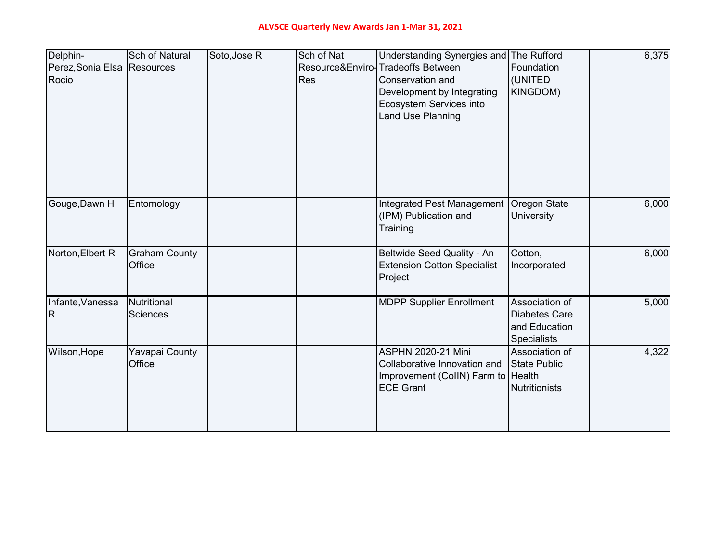| Delphin-<br>Perez, Sonia Elsa Resources<br>Rocio | <b>Sch of Natural</b>          | Soto, Jose R | Sch of Nat<br>Res | Understanding Synergies and The Rufford<br>Resource&Enviro-Tradeoffs Between<br>Conservation and<br>Development by Integrating<br>Ecosystem Services into<br><b>Land Use Planning</b> | Foundation<br>(UNITED<br>KINGDOM)                                             | 6,375 |
|--------------------------------------------------|--------------------------------|--------------|-------------------|---------------------------------------------------------------------------------------------------------------------------------------------------------------------------------------|-------------------------------------------------------------------------------|-------|
| Gouge, Dawn H                                    | Entomology                     |              |                   | <b>Integrated Pest Management</b><br>(IPM) Publication and<br>Training                                                                                                                | Oregon State<br><b>University</b>                                             | 6,000 |
| Norton, Elbert R                                 | <b>Graham County</b><br>Office |              |                   | Beltwide Seed Quality - An<br><b>Extension Cotton Specialist</b><br>Project                                                                                                           | Cotton,<br>Incorporated                                                       | 6,000 |
| Infante, Vanessa<br>IR.                          | Nutritional<br><b>Sciences</b> |              |                   | <b>MDPP Supplier Enrollment</b>                                                                                                                                                       | Association of<br><b>Diabetes Care</b><br>and Education<br><b>Specialists</b> | 5,000 |
| Wilson, Hope                                     | Yavapai County<br>Office       |              |                   | <b>ASPHN 2020-21 Mini</b><br>Collaborative Innovation and<br>Improvement (CollN) Farm to Health<br><b>ECE Grant</b>                                                                   | Association of<br><b>State Public</b><br><b>Nutritionists</b>                 | 4,322 |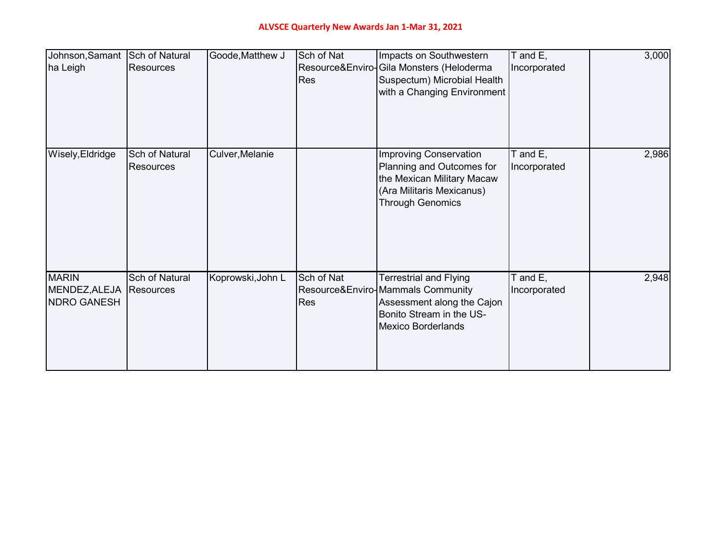## **ALVSCE Quarterly New Awards Jan 1-Mar 31, 2021**

| Johnson, Samant Sch of Natural<br>ha Leigh          | <b>Resources</b>                   | Goode, Matthew J  | Sch of Nat<br><b>Res</b> | Impacts on Southwestern<br>Resource&Enviro-Gila Monsters (Heloderma<br>Suspectum) Microbial Health<br>with a Changing Environment                         | T and E,<br>Incorporated      | 3,000 |
|-----------------------------------------------------|------------------------------------|-------------------|--------------------------|-----------------------------------------------------------------------------------------------------------------------------------------------------------|-------------------------------|-------|
| Wisely, Eldridge                                    | Sch of Natural<br><b>Resources</b> | Culver, Melanie   |                          | <b>Improving Conservation</b><br>Planning and Outcomes for<br>the Mexican Military Macaw<br>(Ara Militaris Mexicanus)<br><b>Through Genomics</b>          | $T$ and $E$ ,<br>Incorporated | 2,986 |
| <b>MARIN</b><br>MENDEZ, ALEJA<br><b>NDRO GANESH</b> | <b>Sch of Natural</b><br>Resources | Koprowski, John L | Sch of Nat<br>Res        | <b>Terrestrial and Flying</b><br>Resource&Enviro-Mammals Community<br>Assessment along the Cajon<br>Bonito Stream in the US-<br><b>Mexico Borderlands</b> | $T$ and $E$ ,<br>Incorporated | 2,948 |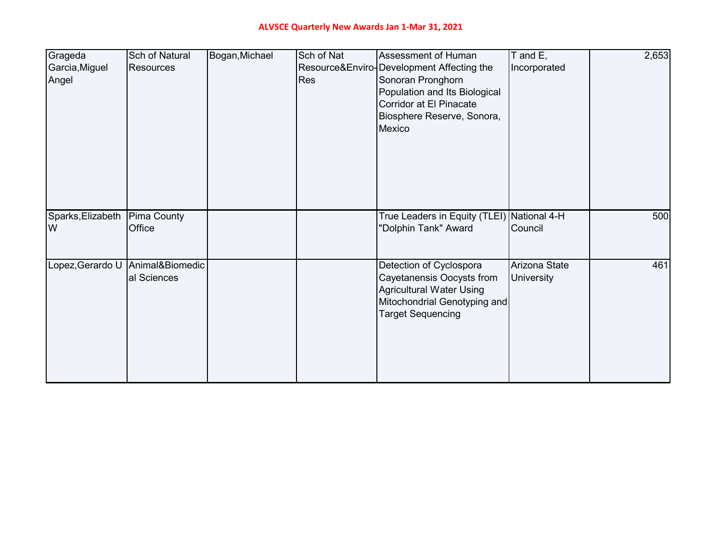## **ALVSCE Quarterly New Awards Jan 1-Mar 31, 2021**

| Grageda<br>Garcia, Miguel<br>Angel | Sch of Natural<br><b>Resources</b>               | Bogan, Michael | Sch of Nat<br><b>Res</b> | Assessment of Human<br>Resource&Enviro-Development Affecting the<br>Sonoran Pronghorn<br>Population and Its Biological<br>Corridor at El Pinacate<br>Biosphere Reserve, Sonora,<br>Mexico | T and E,<br>Incorporated           | 2,653 |
|------------------------------------|--------------------------------------------------|----------------|--------------------------|-------------------------------------------------------------------------------------------------------------------------------------------------------------------------------------------|------------------------------------|-------|
| Sparks, Elizabeth<br>W             | <b>Pima County</b><br>Office                     |                |                          | True Leaders in Equity (TLEI) National 4-H<br>"Dolphin Tank" Award                                                                                                                        | Council                            | 500   |
|                                    | Lopez, Gerardo U Animal& Biomedic<br>al Sciences |                |                          | Detection of Cyclospora<br>Cayetanensis Oocysts from<br><b>Agricultural Water Using</b><br>Mitochondrial Genotyping and<br><b>Target Sequencing</b>                                       | Arizona State<br><b>University</b> | 461   |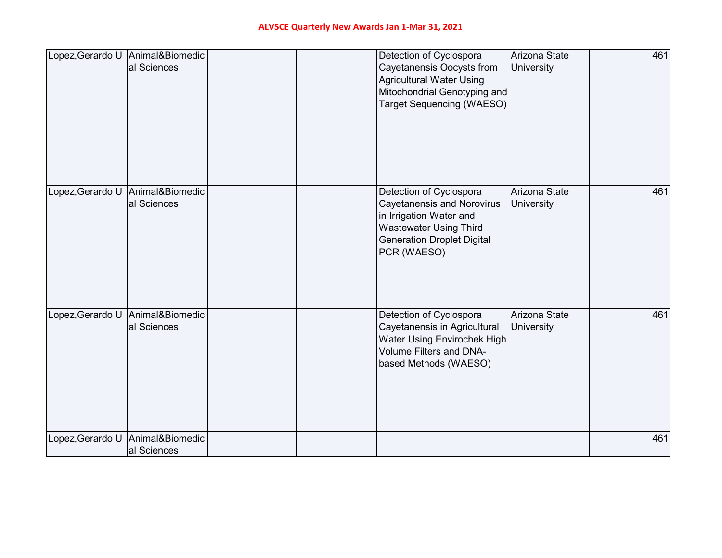| Lopez, Gerardo U Animal&Biomedic | al Sciences                    |  | Detection of Cyclospora<br><b>Cayetanensis Oocysts from</b><br><b>Agricultural Water Using</b><br>Mitochondrial Genotyping and<br><b>Target Sequencing (WAESO)</b>           | Arizona State<br>University        | 461 |
|----------------------------------|--------------------------------|--|------------------------------------------------------------------------------------------------------------------------------------------------------------------------------|------------------------------------|-----|
| Lopez, Gerardo U                 | Animal&Biomedic<br>al Sciences |  | Detection of Cyclospora<br><b>Cayetanensis and Norovirus</b><br>in Irrigation Water and<br><b>Wastewater Using Third</b><br><b>Generation Droplet Digital</b><br>PCR (WAESO) | Arizona State<br><b>University</b> | 461 |
| Lopez, Gerardo U                 | Animal&Biomedic<br>al Sciences |  | Detection of Cyclospora<br>Cayetanensis in Agricultural<br>Water Using Envirochek High<br>Volume Filters and DNA-<br>based Methods (WAESO)                                   | Arizona State<br>University        | 461 |
| Lopez, Gerardo U                 | Animal&Biomedic<br>al Sciences |  |                                                                                                                                                                              |                                    | 461 |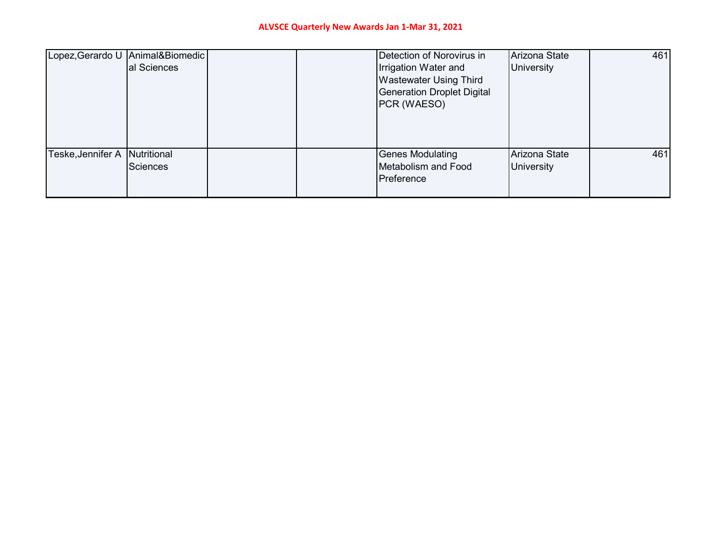|                              | Lopez, Gerardo U Animal&Biomedic<br>al Sciences |  | Detection of Norovirus in<br>Irrigation Water and<br><b>Wastewater Using Third</b><br><b>Generation Droplet Digital</b><br>PCR (WAESO) | Arizona State<br><b>University</b> | 461 |
|------------------------------|-------------------------------------------------|--|----------------------------------------------------------------------------------------------------------------------------------------|------------------------------------|-----|
| Teske,Jennifer A Nutritional | Sciences                                        |  | <b>Genes Modulating</b><br>Metabolism and Food<br>Preference                                                                           | Arizona State<br><b>University</b> | 461 |